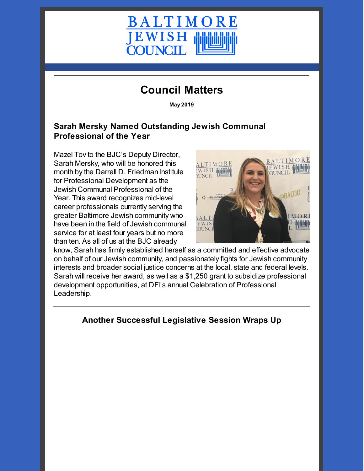

# **Council Matters**

**May 2019**

## **Sarah Mersky Named Outstanding Jewish Communal Professional of the Year**

Mazel Tov to the BJC's Deputy Director, Sarah Mersky, who will be honored this month by the Darrell D. Friedman Institute for Professional Development as the Jewish Communal Professional of the Year. This award recognizes mid-level career professionals currently serving the greater Baltimore Jewish community who have been in the field of Jewish communal service for at least four years but no more than ten. As all of us at the BJC already



know, Sarah has firmly established herself as a committed and effective advocate on behalf of our Jewish community, and passionately fights for Jewish community interests and broader social justice concerns at the local, state and federal levels. Sarah will receive her award, as well as a \$1,250 grant to subsidize professional development opportunities, at DFI's annual Celebration of Professional Leadership.

# **Another Successful Legislative Session Wraps Up**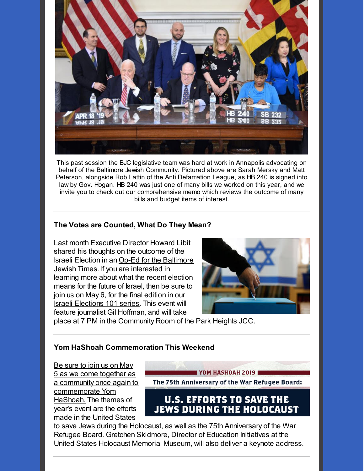

This past session the BJC legislative team was hard at work in Annapolis advocating on behalf of the Baltimore Jewish Community. Pictured above are Sarah Mersky and Matt Peterson, alongside Rob Lattin of the Anti Defamation League, as HB 240 is signed into law by Gov. Hogan. HB 240 was just one of many bills we worked on this year, and we invite you to check out our [comprehensive](https://cdn.fedweb.org/fed-48/2/BJC%25202019%2520Legislative%2520Recap.pdf) memo which reviews the outcome of many bills and budget items of interest.

### **The Votes are Counted, What Do They Mean?**

Last month Executive Director Howard Libit shared his thoughts on the outcome of the Israeli Election in an Op-Ed for the [Baltimore](https://jewishtimes.com/92607/pay-attention-to-what-comes-next/opinion/) Jewish Times. If you are interested in learning more about what the recent election means for the future of Israel, then be sure to join us on May 6, for the final edition in our Israeli [Elections](https://www.baltjc.org/calendar/israeli-elections-101-post-election-briefing) 101 series. This event will feature journalist Gil Hoffman, and will take



place at 7 PM in the Community Room of the Park Heights JCC.

#### **Yom HaShoah Commemoration This Weekend**

Be sure to join us on May 5 as we come together as a community once again to [commemorate](https://www.baltjc.org/calendar/yomhashoah19) Yom HaShoah. The themes of year's event are the efforts made in the United States

YOM HASHOAH 2019 The 75th Anniversary of the War Refugee Board:

# **U.S. EFFORTS TO SAVE THE JEWS DURING THE HOLOCAUST**

to save Jews during the Holocaust, as well as the 75th Anniversary of the War Refugee Board. Gretchen Skidmore, Director of Education Initiatives at the United States Holocaust Memorial Museum, will also deliver a keynote address.